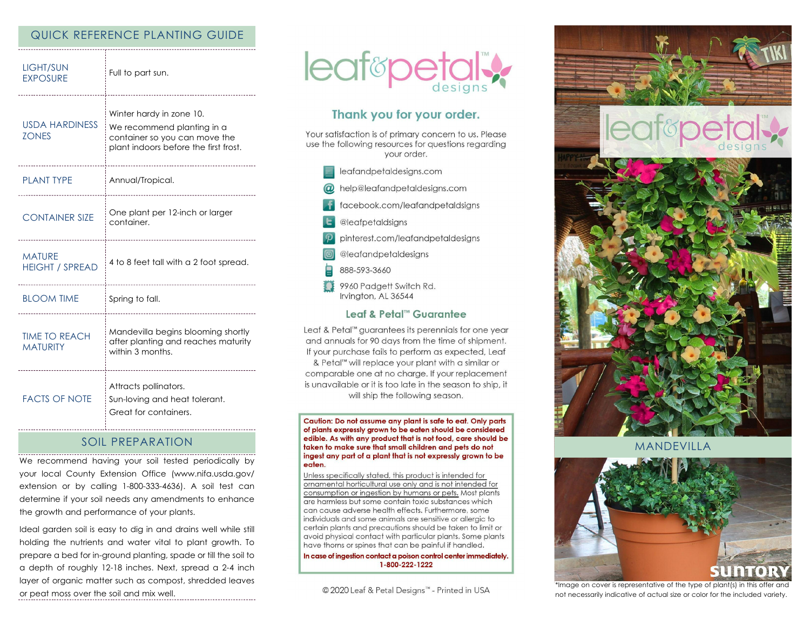## QUICK REFERENCE PLANTING GUIDE

| <b>LIGHT/SUN</b><br><b>EXPOSURE</b>     | Full to part sun.<br>--------------------------                                                                                  |
|-----------------------------------------|----------------------------------------------------------------------------------------------------------------------------------|
| <b>USDA HARDINESS</b><br><b>ZONES</b>   | Winter hardy in zone 10.<br>We recommend planting in a<br>container so you can move the<br>plant indoors before the first frost. |
| <b>PLANT TYPE</b>                       | Annual/Tropical.<br>--------------------------                                                                                   |
| <b>CONTAINER SIZE</b>                   | One plant per 12-inch or larger<br>container.                                                                                    |
| <b>MATURE</b><br><b>HEIGHT / SPREAD</b> | 4 to 8 feet tall with a 2 foot spread.                                                                                           |
| <b>BLOOM TIME</b>                       | Spring to fall.<br>----------------------------------                                                                            |
| <b>TIME TO REACH</b><br><b>MATURITY</b> | Mandevilla begins blooming shortly<br>after planting and reaches maturity<br>within 3 months.                                    |
| <b>FACTS OF NOTE</b>                    | Attracts pollinators.<br>Sun-loving and heat tolerant.<br>Great for containers.                                                  |

# SOIL PREPARATION

We recommend having your soil tested periodically by your local County Extension Office (www.nifa.usda.gov/ extension or by calling 1-800-333-4636). A soil test can determine if your soil needs any amendments to enhance the growth and performance of your plants.

Ideal garden soil is easy to dig in and drains well while still holding the nutrients and water vital to plant growth. To prepare a bed for in-ground planting, spade or till the soil to a depth of roughly 12-18 inches. Next, spread a 2-4 inch layer of organic matter such as compost, shredded leaves or peat moss over the soil and mix well.



# Thank you for your order.

Your satisfaction is of primary concern to us. Please use the following resources for questions regarding vour order.

- @ help@leafandpetaldesigns.com
- facebook.com/leafandpetaldsigns
- **L** @leafpetaldsigns
- pinterest.com/leafandpetaldesigns

@leafandpetaldesigns

- 888-593-3660
- 9960 Padgett Switch Rd. Irvington, AL 36544

### Leaf & Petal™ Guarantee

Leaf & Petal™ guarantees its perennials for one year and annuals for 90 days from the time of shipment. If your purchase fails to perform as expected, Leaf

& Petal<sup>™</sup> will replace your plant with a similar or comparable one at no charge. If your replacement is unavailable or it is too late in the season to ship, it will ship the following season.

Caution: Do not assume any plant is safe to eat. Only parts of plants expressly grown to be eaten should be considered edible. As with any product that is not food, care should be taken to make sure that small children and pets do not ingest any part of a plant that is not expressly grown to be eaten.

Unless specifically stated, this product is intended for ornamental horticultural use only and is not intended for consumption or ingestion by humans or pets. Most plants are harmless but some contain toxic substances which can cause adverse health effects. Furthermore, some individuals and some animals are sensitive or allergic to certain plants and precautions should be taken to limit or avoid physical contact with particular plants. Some plants have thorns or spines that can be painful if handled.

In case of ingestion contact a poison control center immediately. 1-800-222-1222

© 2020 Leaf & Petal Designs™ - Printed in USA



MANDEVILLA



\*Image on cover is representative of the type of plant(s) in this offer and not necessarily indicative of actual size or color for the included variety.